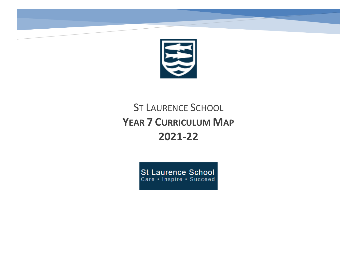

# ST LAURENCE SCHOOL **YEAR 7 CURRICULUM MAP 2021-22**

St Laurence School<br>Care · Inspire · Succeed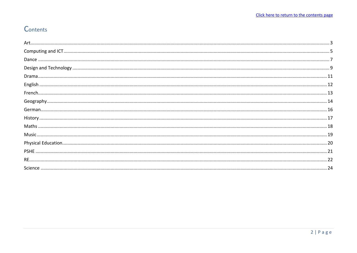# <span id="page-1-0"></span>Contents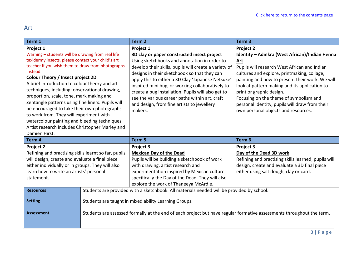# <span id="page-2-0"></span>Art

| Term 1                                                                                                                                                                                                                                                                                                                                                                                                                                                                                                                                                                                                                                       |                                                                                           | Term <sub>2</sub>                                                                                                                                                                                                                                                                                                                                                                                                                                                                           | Term <sub>3</sub>                                                                                                                                                                                                                                                                                                                                                                                                                           |
|----------------------------------------------------------------------------------------------------------------------------------------------------------------------------------------------------------------------------------------------------------------------------------------------------------------------------------------------------------------------------------------------------------------------------------------------------------------------------------------------------------------------------------------------------------------------------------------------------------------------------------------------|-------------------------------------------------------------------------------------------|---------------------------------------------------------------------------------------------------------------------------------------------------------------------------------------------------------------------------------------------------------------------------------------------------------------------------------------------------------------------------------------------------------------------------------------------------------------------------------------------|---------------------------------------------------------------------------------------------------------------------------------------------------------------------------------------------------------------------------------------------------------------------------------------------------------------------------------------------------------------------------------------------------------------------------------------------|
| Project 1<br>Warning - students will be drawing from real life<br>taxidermy insects, please contact your child's art<br>teacher if you wish them to draw from photographs<br>instead.<br>Colour Theory / Insect project 2D<br>A brief introduction to colour theory and art<br>techniques, including: observational drawing,<br>proportion, scale, tone, mark making and<br>Zentangle patterns using fine liners. Pupils will<br>be encouraged to take their own photographs<br>to work from. They will experiment with<br>watercolour painting and bleeding techniques.<br>Artist research includes Christopher Marley and<br>Damien Hirst. |                                                                                           | Project 1<br>3D clay or paper constructed insect project<br>Using sketchbooks and annotation in order to<br>develop their skills, pupils will create a variety of<br>designs in their sketchbook so that they can<br>apply this to either a 3D Clay 'Japanese Netsuke'<br>inspired mini bug, or working collaboratively to<br>create a bug installation. Pupils will also get to<br>see the various career paths within art, craft<br>and design, from fine artists to jewellery<br>makers. | Project 2<br>Identity - Adinkra (West African)/Indian Henna<br><b>Art</b><br>Pupils will research West African and Indian<br>cultures and explore, printmaking, collage,<br>painting and how to present their work. We will<br>look at pattern making and its application to<br>print or graphic design.<br>Focusing on the theme of symbolism and<br>personal identity, pupils will draw from their<br>own personal objects and resources. |
| Term 4                                                                                                                                                                                                                                                                                                                                                                                                                                                                                                                                                                                                                                       |                                                                                           | Term 5                                                                                                                                                                                                                                                                                                                                                                                                                                                                                      | Term 6                                                                                                                                                                                                                                                                                                                                                                                                                                      |
| Project 2<br>Refining and practising skills learnt so far, pupils<br>will design, create and evaluate a final piece<br>either individually or in groups. They will also<br>learn how to write an artists' personal<br>statement.                                                                                                                                                                                                                                                                                                                                                                                                             |                                                                                           | Project 3<br><b>Mexican Day of the Dead</b><br>Pupils will be building a sketchbook of work<br>with drawing, artist research and<br>experimentation inspired by Mexican culture,<br>specifically the Day of the Dead. They will also<br>explore the work of Thaneeya McArdle.                                                                                                                                                                                                               | Project 3<br>Day of the Dead 3D work<br>Refining and practising skills learned, pupils will<br>design, create and evaluate a 3D final piece<br>either using salt dough, clay or card.                                                                                                                                                                                                                                                       |
| <b>Resources</b>                                                                                                                                                                                                                                                                                                                                                                                                                                                                                                                                                                                                                             | Students are provided with a sketchbook. All materials needed will be provided by school. |                                                                                                                                                                                                                                                                                                                                                                                                                                                                                             |                                                                                                                                                                                                                                                                                                                                                                                                                                             |
| <b>Setting</b>                                                                                                                                                                                                                                                                                                                                                                                                                                                                                                                                                                                                                               | Students are taught in mixed ability Learning Groups.                                     |                                                                                                                                                                                                                                                                                                                                                                                                                                                                                             |                                                                                                                                                                                                                                                                                                                                                                                                                                             |
| <b>Assessment</b>                                                                                                                                                                                                                                                                                                                                                                                                                                                                                                                                                                                                                            |                                                                                           | Students are assessed formally at the end of each project but have regular formative assessments throughout the term.                                                                                                                                                                                                                                                                                                                                                                       |                                                                                                                                                                                                                                                                                                                                                                                                                                             |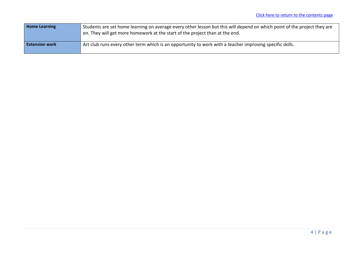| <b>Home Learning</b>  | Students are set home learning on average every other lesson but this will depend on which point of the project they are<br>on. They will get more homework at the start of the project than at the end. |
|-----------------------|----------------------------------------------------------------------------------------------------------------------------------------------------------------------------------------------------------|
| <b>Extension work</b> | Art club runs every other term which is an opportunity to work with a teacher improving specific skills.                                                                                                 |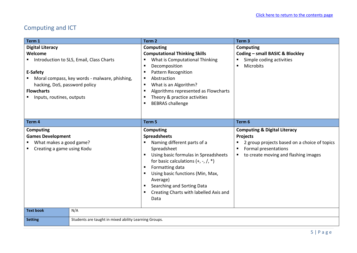# <span id="page-4-0"></span>Computing and ICT

| Term 1                                                                                                                                  |                                                                                           | Term <sub>2</sub>                                                                                                                                                                                                                                                                                                                        | Term <sub>3</sub>                                                                                                                                                                     |
|-----------------------------------------------------------------------------------------------------------------------------------------|-------------------------------------------------------------------------------------------|------------------------------------------------------------------------------------------------------------------------------------------------------------------------------------------------------------------------------------------------------------------------------------------------------------------------------------------|---------------------------------------------------------------------------------------------------------------------------------------------------------------------------------------|
| <b>Digital Literacy</b><br>Welcome<br>E-Safety<br>hacking, DoS, password policy<br><b>Flowcharts</b><br>Inputs, routines, outputs<br>п. | Introduction to SLS, Email, Class Charts<br>Moral compass, key words - malware, phishing, | <b>Computing</b><br><b>Computational Thinking Skills</b><br>What is Computational Thinking<br>Decomposition<br>п<br><b>Pattern Recognition</b><br>п<br>Abstraction<br>п<br>What is an Algorithm?<br>п<br>Algorithms represented as Flowcharts<br>п<br>Theory & practice activities<br>п<br><b>BEBRAS</b> challenge<br>п                  | Computing<br>Coding - small BASIC & Blockley<br>Simple coding activities<br><b>Microbits</b>                                                                                          |
| Term 4                                                                                                                                  |                                                                                           | Term 5                                                                                                                                                                                                                                                                                                                                   | Term 6                                                                                                                                                                                |
| Computing<br><b>Games Development</b><br>What makes a good game?<br>Creating a game using Kodu                                          |                                                                                           | <b>Computing</b><br><b>Spreadsheets</b><br>Naming different parts of a<br>Spreadsheet<br>Using basic formulas in Spreadsheets<br>п<br>for basic calculations $(+, -, /, *)$<br>Formatting data<br>в<br>Using basic functions (Min, Max,<br>п<br>Average)<br>Searching and Sorting Data<br>Creating Charts with labelled Axis and<br>Data | <b>Computing &amp; Digital Literacy</b><br><b>Projects</b><br>2 group projects based on a choice of topics<br>Formal presentations<br>п<br>to create moving and flashing images<br>п. |
| <b>Text book</b>                                                                                                                        | N/A                                                                                       |                                                                                                                                                                                                                                                                                                                                          |                                                                                                                                                                                       |
| <b>Setting</b>                                                                                                                          | Students are taught in mixed ability Learning Groups.                                     |                                                                                                                                                                                                                                                                                                                                          |                                                                                                                                                                                       |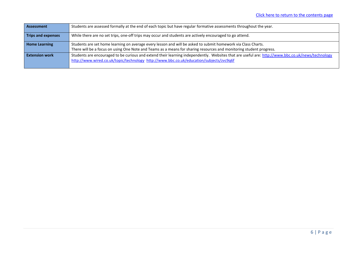| Assessment                | Students are assessed formally at the end of each topic but have regular formative assessments throughout the year.                                                                                                                          |
|---------------------------|----------------------------------------------------------------------------------------------------------------------------------------------------------------------------------------------------------------------------------------------|
| <b>Trips and expenses</b> | While there are no set trips, one-off trips may occur and students are actively encouraged to go attend.                                                                                                                                     |
| <b>Home Learning</b>      | Students are set home learning on average every lesson and will be asked to submit homework via Class Charts.                                                                                                                                |
|                           | There will be a focus on using One Note and Teams as a means for sharing resources and monitoring student progress.                                                                                                                          |
| <b>Extension work</b>     | Students are encouraged to be curious and extend their learning independently. Websites that are useful are: http://www.bbc.co.uk/news/technology<br>http://www.wired.co.uk/topic/technology_http://www.bbc.co.uk/education/subjects/zvc9q6f |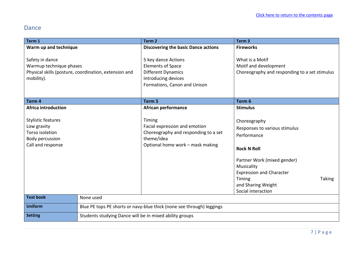#### <span id="page-6-0"></span>Dance

| Term 1                                                                                              |                                                                       | Term <sub>2</sub>                                                                                                                   | Term <sub>3</sub>                                                                                                                                                                                                                         |
|-----------------------------------------------------------------------------------------------------|-----------------------------------------------------------------------|-------------------------------------------------------------------------------------------------------------------------------------|-------------------------------------------------------------------------------------------------------------------------------------------------------------------------------------------------------------------------------------------|
| Warm up and technique                                                                               |                                                                       | <b>Discovering the basic Dance actions</b>                                                                                          | <b>Fireworks</b>                                                                                                                                                                                                                          |
| Safety in dance<br>Warmup technique phases<br>mobility).                                            | Physical skills (posture, coordination, extension and                 | 5 key dance Actions<br><b>Elements of Space</b><br><b>Different Dynamics</b><br>Introducing devices<br>Formations, Canon and Unison | What is a Motif<br>Motif and development<br>Choreography and responding to a set stimulus                                                                                                                                                 |
| Term <sub>4</sub>                                                                                   |                                                                       | Term 5                                                                                                                              | Term 6                                                                                                                                                                                                                                    |
| <b>Africa introduction</b>                                                                          |                                                                       | <b>African performance</b>                                                                                                          | <b>Stimulus</b>                                                                                                                                                                                                                           |
| <b>Stylistic features</b><br>Low gravity<br>Torso isolation<br>Body percussion<br>Call and response |                                                                       | Timing<br>Facial expression and emotion<br>Choreography and responding to a set<br>theme/idea<br>Optional home work - mask making   | Choreography<br>Responses to various stimulus<br>Performance<br><b>Rock N Roll</b><br>Partner Work (mixed gender)<br>Musicality<br><b>Expression and Character</b><br><b>Taking</b><br>Timing<br>and Sharing Weight<br>Social interaction |
| <b>Text book</b>                                                                                    | None used                                                             |                                                                                                                                     |                                                                                                                                                                                                                                           |
| <b>Uniform</b>                                                                                      | Blue PE tops PE shorts or navy-blue thick (none see through) leggings |                                                                                                                                     |                                                                                                                                                                                                                                           |
| <b>Setting</b>                                                                                      | Students studying Dance will be in mixed ability groups               |                                                                                                                                     |                                                                                                                                                                                                                                           |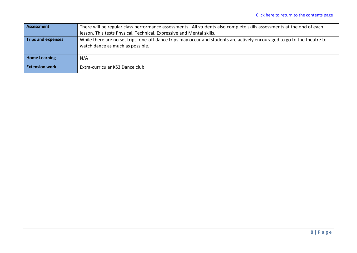| Assessment                | There will be regular class performance assessments. All students also complete skills assessments at the end of each    |  |  |  |
|---------------------------|--------------------------------------------------------------------------------------------------------------------------|--|--|--|
|                           | lesson. This tests Physical, Technical, Expressive and Mental skills.                                                    |  |  |  |
| <b>Trips and expenses</b> | While there are no set trips, one-off dance trips may occur and students are actively encouraged to go to the theatre to |  |  |  |
|                           | watch dance as much as possible.                                                                                         |  |  |  |
|                           |                                                                                                                          |  |  |  |
| <b>Home Learning</b>      | N/A                                                                                                                      |  |  |  |
| <b>Extension work</b>     | Extra-curricular KS3 Dance club                                                                                          |  |  |  |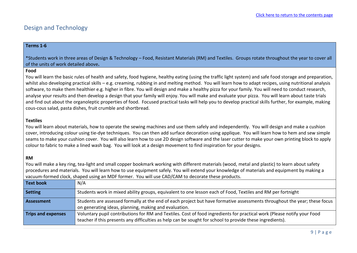#### <span id="page-8-0"></span>Design and Technology

#### **Terms 1-6**

\*Students work in three areas of Design & Technology – Food, Resistant Materials (RM) and Textiles. Groups rotate throughout the year to cover all of the units of work detailed above**.**

#### **Food**

You will learn the basic rules of health and safety, food hygiene, healthy eating (using the traffic light system) and safe food storage and preparation, whilst also developing practical skills – e.g. creaming, rubbing in and melting method. You will learn how to adapt recipes, using nutritional analysis software, to make them healthier e.g. higher in fibre. You will design and make a healthy pizza for your family. You will need to conduct research, analyse your results and then develop a design that your family will enjoy. You will make and evaluate your pizza. You will learn about taste trials and find out about the organoleptic properties of food. Focused practical tasks will help you to develop practical skills further, for example, making cous-cous salad, pasta dishes, fruit crumble and shortbread.

#### **Textiles**

You will learn about materials, how to operate the sewing machines and use them safely and independently. You will design and make a cushion cover, introducing colour using tie-dye techniques. You can then add surface decoration using applique. You will learn how to hem and sew simple seams to make your cushion cover. You will also learn how to use 2D design software and the laser cutter to make your own printing block to apply colour to fabric to make a lined wash bag. You will look at a design movement to find inspiration for your designs.

#### **RM**

You will make a key ring, tea-light and small copper bookmark working with different materials (wood, metal and plastic) to learn about safety procedures and materials. You will learn how to use equipment safely. You will extend your knowledge of materials and equipment by making a vacuum-formed clock, shaped using an MDF former. You will use CAD/CAM to decorate these products.

| <b>Text book</b>          | N/A                                                                                                                                                                                                                                  |
|---------------------------|--------------------------------------------------------------------------------------------------------------------------------------------------------------------------------------------------------------------------------------|
| <b>Setting</b>            | Students work in mixed ability groups, equivalent to one lesson each of Food, Textiles and RM per fortnight                                                                                                                          |
| Assessment                | Students are assessed formally at the end of each project but have formative assessments throughout the year; these focus<br>on generating ideas, planning, making and evaluation.                                                   |
| <b>Trips and expenses</b> | Voluntary pupil contributions for RM and Textiles. Cost of food ingredients for practical work (Please notify your Food<br>teacher if this presents any difficulties as help can be sought for school to provide these ingredients). |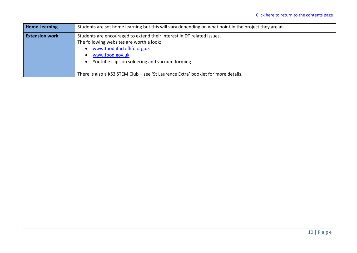| <b>Home Learning</b>  | Students are set home learning but this will vary depending on what point in the project they are at.                                                                                                                |
|-----------------------|----------------------------------------------------------------------------------------------------------------------------------------------------------------------------------------------------------------------|
| <b>Extension work</b> | Students are encouraged to extend their interest in DT related issues.<br>The following websites are worth a look:<br>www.foodafactoflife.org.uk<br>www.food.gov.uk<br>Youtube clips on soldering and vacuum forming |
|                       | There is also a KS3 STEM Club - see 'St Laurence Extra' booklet for more details.                                                                                                                                    |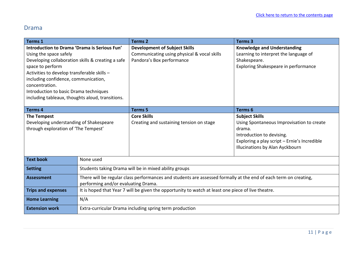#### <span id="page-10-0"></span>Drama

| <b>Terms 1</b>                                                                                                                                                                                                                                                                                                                                         |                                                                                                                                                         | <b>Terms 2</b>                                                                                                   | <b>Terms 3</b>                                                                                                                                                      |
|--------------------------------------------------------------------------------------------------------------------------------------------------------------------------------------------------------------------------------------------------------------------------------------------------------------------------------------------------------|---------------------------------------------------------------------------------------------------------------------------------------------------------|------------------------------------------------------------------------------------------------------------------|---------------------------------------------------------------------------------------------------------------------------------------------------------------------|
| Introduction to Drama 'Drama is Serious Fun'<br>Using the space safely<br>Developing collaboration skills & creating a safe<br>space to perform<br>Activities to develop transferable skills -<br>including confidence, communication,<br>concentration.<br>Introduction to basic Drama techniques<br>including tableaux, thoughts aloud, transitions. |                                                                                                                                                         | <b>Development of Subject Skills</b><br>Communicating using physical & vocal skills<br>Pandora's Box performance | <b>Knowledge and Understanding</b><br>Learning to interpret the language of<br>Shakespeare.<br>Exploring Shakespeare in performance                                 |
| <b>Terms 4</b>                                                                                                                                                                                                                                                                                                                                         |                                                                                                                                                         | <b>Terms 5</b>                                                                                                   | Terms 6                                                                                                                                                             |
| <b>The Tempest</b>                                                                                                                                                                                                                                                                                                                                     |                                                                                                                                                         | <b>Core Skills</b>                                                                                               | <b>Subject Skills</b>                                                                                                                                               |
| Developing understanding of Shakespeare<br>through exploration of 'The Tempest'                                                                                                                                                                                                                                                                        |                                                                                                                                                         | Creating and sustaining tension on stage                                                                         | Using Spontaneous Improvisation to create<br>drama.<br>Introduction to devising.<br>Exploring a play script - Ernie's Incredible<br>Illucinations by Alan Ayckbourn |
| <b>Text book</b>                                                                                                                                                                                                                                                                                                                                       | None used                                                                                                                                               |                                                                                                                  |                                                                                                                                                                     |
| <b>Setting</b>                                                                                                                                                                                                                                                                                                                                         | Students taking Drama will be in mixed ability groups                                                                                                   |                                                                                                                  |                                                                                                                                                                     |
| <b>Assessment</b>                                                                                                                                                                                                                                                                                                                                      | There will be regular class performances and students are assessed formally at the end of each term on creating,<br>performing and/or evaluating Drama. |                                                                                                                  |                                                                                                                                                                     |
| <b>Trips and expenses</b>                                                                                                                                                                                                                                                                                                                              | It is hoped that Year 7 will be given the opportunity to watch at least one piece of live theatre.                                                      |                                                                                                                  |                                                                                                                                                                     |
| <b>Home Learning</b>                                                                                                                                                                                                                                                                                                                                   | N/A                                                                                                                                                     |                                                                                                                  |                                                                                                                                                                     |
| <b>Extension work</b>                                                                                                                                                                                                                                                                                                                                  | Extra-curricular Drama including spring term production                                                                                                 |                                                                                                                  |                                                                                                                                                                     |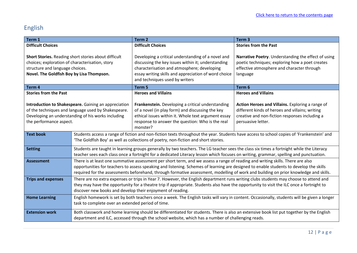# <span id="page-11-0"></span>English

| Term 1                                                                                                                                                                                       |                                                                                                                                                                                                                                                                                                                                                                                                                  | Term <sub>2</sub>                                                                                                                                                                                                                                 | Term <sub>3</sub>                                                                                                                                                           |
|----------------------------------------------------------------------------------------------------------------------------------------------------------------------------------------------|------------------------------------------------------------------------------------------------------------------------------------------------------------------------------------------------------------------------------------------------------------------------------------------------------------------------------------------------------------------------------------------------------------------|---------------------------------------------------------------------------------------------------------------------------------------------------------------------------------------------------------------------------------------------------|-----------------------------------------------------------------------------------------------------------------------------------------------------------------------------|
| <b>Difficult Choices</b>                                                                                                                                                                     |                                                                                                                                                                                                                                                                                                                                                                                                                  | <b>Difficult Choices</b>                                                                                                                                                                                                                          | <b>Stories from the Past</b>                                                                                                                                                |
| Short Stories. Reading short stories about difficult<br>choices; exploration of characterisation, story<br>structure and language choices.<br>Novel. The Goldfish Boy by Lisa Thompson.      |                                                                                                                                                                                                                                                                                                                                                                                                                  | Developing a critical understanding of a novel and<br>discussing the key issues within it; understanding<br>characterisation and atmosphere; developing<br>essay writing skills and appreciation of word choice<br>and techniques used by writers | Narrative Poetry. Understanding the effect of using<br>poetic techniques; exploring how a poet creates<br>effective atmosphere and character through<br>language            |
| Term 4                                                                                                                                                                                       |                                                                                                                                                                                                                                                                                                                                                                                                                  | Term <sub>5</sub>                                                                                                                                                                                                                                 | Term 6                                                                                                                                                                      |
| <b>Stories from the Past</b>                                                                                                                                                                 |                                                                                                                                                                                                                                                                                                                                                                                                                  | <b>Heroes and Villains</b>                                                                                                                                                                                                                        | <b>Heroes and Villains</b>                                                                                                                                                  |
| Introduction to Shakespeare. Gaining an appreciation<br>of the techniques and language used by Shakespeare.<br>Developing an understanding of his works including<br>the performance aspect. |                                                                                                                                                                                                                                                                                                                                                                                                                  | Frankenstein. Developing a critical understanding<br>of a novel (in play form) and discussing the key<br>ethical issues within it. Whole text argument essay<br>response to answer the question: Who is the real<br>monster?                      | Action Heroes and Villains. Exploring a range of<br>different kinds of heroes and villains; writing<br>creative and non-fiction responses including a<br>persuasive letter. |
| <b>Text book</b>                                                                                                                                                                             | Students access a range of fiction and non-fiction texts throughout the year. Students have access to school copies of 'Frankenstein' and<br>'The Goldfish Boy' as well as collections of poetry, non-fiction and short stories.                                                                                                                                                                                 |                                                                                                                                                                                                                                                   |                                                                                                                                                                             |
| <b>Setting</b>                                                                                                                                                                               | Students are taught in learning groups generally by two teachers. The LG teacher sees the class six times a fortnight while the Literacy<br>teacher sees each class once a fortnight for a dedicated Literacy lesson which focuses on writing, grammar, spelling and punctuation.                                                                                                                                |                                                                                                                                                                                                                                                   |                                                                                                                                                                             |
| <b>Assessment</b>                                                                                                                                                                            | There is at least one summative assessment per short term, and we assess a range of reading and writing skills. There are also<br>opportunities for teachers to assess speaking and listening. Schemes of learning are designed to enable students to develop the skills<br>required for the assessments beforehand, through formative assessment, modelling of work and building on prior knowledge and skills. |                                                                                                                                                                                                                                                   |                                                                                                                                                                             |
| <b>Trips and expenses</b>                                                                                                                                                                    | There are no extra expenses or trips in Year 7. However, the English department runs writing clubs students may choose to attend and<br>they may have the opportunity for a theatre trip if appropriate. Students also have the opportunity to visit the ILC once a fortnight to<br>discover new books and develop their enjoyment of reading.                                                                   |                                                                                                                                                                                                                                                   |                                                                                                                                                                             |
| <b>Home Learning</b>                                                                                                                                                                         | English homework is set by both teachers once a week. The English tasks will vary in content. Occasionally, students will be given a longer<br>task to complete over an extended period of time.                                                                                                                                                                                                                 |                                                                                                                                                                                                                                                   |                                                                                                                                                                             |
| <b>Extension work</b>                                                                                                                                                                        | Both classwork and home learning should be differentiated for students. There is also an extensive book list put together by the English<br>department and ILC, accessed through the school website, which has a number of challenging reads.                                                                                                                                                                    |                                                                                                                                                                                                                                                   |                                                                                                                                                                             |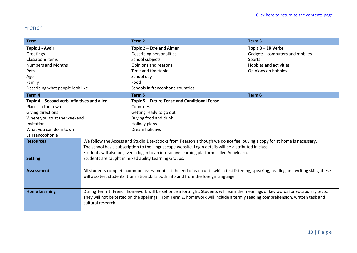### <span id="page-12-0"></span>French

| Term 1                                      |                                                                                                                                                     | Term <sub>2</sub>                                                                                                        | Term <sub>3</sub>               |
|---------------------------------------------|-----------------------------------------------------------------------------------------------------------------------------------------------------|--------------------------------------------------------------------------------------------------------------------------|---------------------------------|
| Topic 1 - Avoir                             |                                                                                                                                                     | Topic 2 - Etre and Aimer                                                                                                 | Topic 3 - ER Verbs              |
| Greetings                                   |                                                                                                                                                     | Describing personalities                                                                                                 | Gadgets - computers and mobiles |
| Classroom items                             |                                                                                                                                                     | School subjects                                                                                                          | Sports                          |
| <b>Numbers and Months</b>                   |                                                                                                                                                     | Opinions and reasons                                                                                                     | Hobbies and activities          |
| Pets                                        |                                                                                                                                                     | Time and timetable                                                                                                       | Opinions on hobbies             |
| Age                                         |                                                                                                                                                     | School day                                                                                                               |                                 |
| Family                                      |                                                                                                                                                     | Food                                                                                                                     |                                 |
| Describing what people look like            |                                                                                                                                                     | Schools in francophone countries                                                                                         |                                 |
| Term <sub>4</sub>                           |                                                                                                                                                     | Term 5                                                                                                                   | Term <sub>6</sub>               |
| Topic 4 – Second verb infinitives and aller |                                                                                                                                                     | Topic 5 - Future Tense and Conditional Tense                                                                             |                                 |
| Places in the town                          |                                                                                                                                                     | Countries                                                                                                                |                                 |
| Giving directions                           |                                                                                                                                                     | Getting ready to go out                                                                                                  |                                 |
| Where you go at the weekend                 |                                                                                                                                                     | Buying food and drink                                                                                                    |                                 |
| Invitations                                 |                                                                                                                                                     | Holiday plans                                                                                                            |                                 |
| What you can do in town                     |                                                                                                                                                     | Dream holidays                                                                                                           |                                 |
| La Francophonie                             |                                                                                                                                                     |                                                                                                                          |                                 |
| <b>Resources</b>                            |                                                                                                                                                     | We follow the Access and Studio 1 textbooks from Pearson although we do not feel buying a copy for at home is necessary. |                                 |
|                                             | The school has a subscription to the Linguascope website. Login details will be distributed in class.                                               |                                                                                                                          |                                 |
|                                             | Students will also be given a log in to an interactive learning platform called Activlearn.                                                         |                                                                                                                          |                                 |
| <b>Setting</b>                              | Students are taught in mixed ability Learning Groups.                                                                                               |                                                                                                                          |                                 |
|                                             |                                                                                                                                                     |                                                                                                                          |                                 |
| <b>Assessment</b>                           | All students complete common assessments at the end of each until which test listening, speaking, reading and writing skills, these                 |                                                                                                                          |                                 |
|                                             | will also test students' translation skills both into and from the foreign language.                                                                |                                                                                                                          |                                 |
|                                             |                                                                                                                                                     |                                                                                                                          |                                 |
| <b>Home Learning</b>                        | During Term 1, French homework will be set once a fortnight. Students will learn the meanings of key words for vocabulary tests.                    |                                                                                                                          |                                 |
|                                             |                                                                                                                                                     |                                                                                                                          |                                 |
|                                             |                                                                                                                                                     |                                                                                                                          |                                 |
|                                             |                                                                                                                                                     |                                                                                                                          |                                 |
|                                             | They will not be tested on the spellings. From Term 2, homework will include a termly reading comprehension, written task and<br>cultural research. |                                                                                                                          |                                 |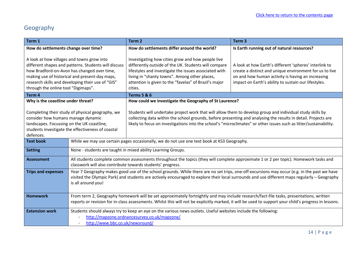# <span id="page-13-0"></span>Geography

| Term 1                                                                                                                                                                                                                                                                                          |                                                                                                                                                                                                                                                                                                                   | Term <sub>2</sub>                                                                                                                                                                                                                                                                                                                                 | Term <sub>3</sub>                                                                                                                                                                                                              |
|-------------------------------------------------------------------------------------------------------------------------------------------------------------------------------------------------------------------------------------------------------------------------------------------------|-------------------------------------------------------------------------------------------------------------------------------------------------------------------------------------------------------------------------------------------------------------------------------------------------------------------|---------------------------------------------------------------------------------------------------------------------------------------------------------------------------------------------------------------------------------------------------------------------------------------------------------------------------------------------------|--------------------------------------------------------------------------------------------------------------------------------------------------------------------------------------------------------------------------------|
| How do settlements change over time?                                                                                                                                                                                                                                                            |                                                                                                                                                                                                                                                                                                                   | How do settlements differ around the world?                                                                                                                                                                                                                                                                                                       | Is Earth running out of natural resources?                                                                                                                                                                                     |
| A look at how villages and towns grow into<br>different shapes and patterns. Students will discuss<br>how Bradford-on-Avon has changed over time,<br>making use of historical and present-day maps,<br>research skills and developing their use of "GIS"<br>through the online tool "Digimaps". |                                                                                                                                                                                                                                                                                                                   | Investigating how cities grow and how people live<br>differently outside of the UK. Students will compare<br>lifestyles and investigate the issues associated with<br>living in "shanty towns". Among other places,<br>attention is given to the "favelas" of Brazil's major<br>cities.                                                           | A look at how Earth's different 'spheres' interlink to<br>create a distinct and unique environment for us to live<br>on and how human activity is having an increasing<br>impact on Earth's ability to sustain our lifestyles. |
| Term <sub>4</sub>                                                                                                                                                                                                                                                                               |                                                                                                                                                                                                                                                                                                                   | <b>Terms 5 &amp; 6</b>                                                                                                                                                                                                                                                                                                                            |                                                                                                                                                                                                                                |
| Why is the coastline under threat?                                                                                                                                                                                                                                                              |                                                                                                                                                                                                                                                                                                                   | How could we investigate the Geography of St Laurence?                                                                                                                                                                                                                                                                                            |                                                                                                                                                                                                                                |
| Completing their study of physical geography, we<br>consider how humans manage dynamic<br>landscapes. Focussing on the UK coastline,<br>students investigate the effectiveness of coastal<br>defences.                                                                                          |                                                                                                                                                                                                                                                                                                                   | Students will undertake project work that will allow them to develop group and individual study skills by<br>collecting data within the school grounds, before presenting and analysing the results in detail. Projects are<br>likely to focus on investigations into the school's "microclimates" or other issues such as litter/sustainability. |                                                                                                                                                                                                                                |
| <b>Text book</b>                                                                                                                                                                                                                                                                                | While we may use certain pages occasionally, we do not use one text book at KS3 Geography.                                                                                                                                                                                                                        |                                                                                                                                                                                                                                                                                                                                                   |                                                                                                                                                                                                                                |
| <b>Setting</b>                                                                                                                                                                                                                                                                                  | None - students are taught in mixed ability Learning Groups.                                                                                                                                                                                                                                                      |                                                                                                                                                                                                                                                                                                                                                   |                                                                                                                                                                                                                                |
| <b>Assessment</b>                                                                                                                                                                                                                                                                               | All students complete common assessments throughout the topics (they will complete approximate 1 or 2 per topic). Homework tasks and<br>classwork will also contribute towards students' progress.                                                                                                                |                                                                                                                                                                                                                                                                                                                                                   |                                                                                                                                                                                                                                |
| <b>Trips and expenses</b>                                                                                                                                                                                                                                                                       | Year 7 Geography makes good use of the school grounds. While there are no set trips, one-off excursions may occur (e.g. in the past we have<br>visited the Olympic Park) and students are actively encouraged to explore their local surrounds and use different maps regularly - Geography<br>is all around you! |                                                                                                                                                                                                                                                                                                                                                   |                                                                                                                                                                                                                                |
| <b>Homework</b>                                                                                                                                                                                                                                                                                 | From term 2, Geography homework will be set approximately fortnightly and may include research/fact-file tasks, presentations, written<br>reports or revision for in-class assessments. Whilst this will not be explicitly marked, it will be used to support your child's progress in lessons.                   |                                                                                                                                                                                                                                                                                                                                                   |                                                                                                                                                                                                                                |
| <b>Extension work</b>                                                                                                                                                                                                                                                                           | Students should always try to keep an eye on the various news outlets. Useful websites include the following:<br>http://mapzone.ordnancesurvey.co.uk/mapzone/<br>http://www.bbc.co.uk/newsround/                                                                                                                  |                                                                                                                                                                                                                                                                                                                                                   |                                                                                                                                                                                                                                |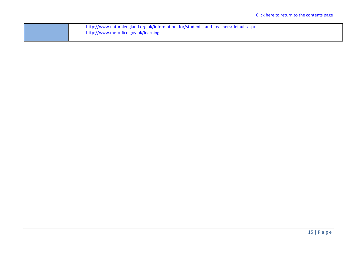|  | - http://www.naturalengland.org.uk/information for/students and teachers/default.aspx |
|--|---------------------------------------------------------------------------------------|
|  | http://www.metoffice.gov.uk/learning                                                  |
|  |                                                                                       |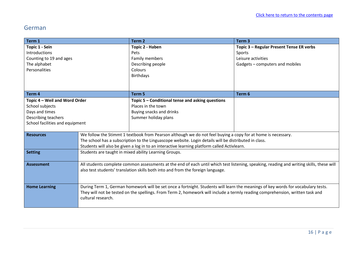#### <span id="page-15-0"></span>German

| Term 1                          |                    | Term <sub>2</sub>                                                                                                                        | Term <sub>3</sub>                        |
|---------------------------------|--------------------|------------------------------------------------------------------------------------------------------------------------------------------|------------------------------------------|
| Topic 1 - Sein                  |                    | Topic 2 - Haben                                                                                                                          | Topic 3 - Regular Present Tense ER verbs |
| Introductions                   |                    | Pets                                                                                                                                     | Sports                                   |
| Counting to 19 and ages         |                    | Family members                                                                                                                           | Leisure activities                       |
| The alphabet                    |                    | Describing people                                                                                                                        | Gadgets - computers and mobiles          |
| Personalities                   |                    | Colours                                                                                                                                  |                                          |
|                                 |                    | <b>Birthdays</b>                                                                                                                         |                                          |
|                                 |                    |                                                                                                                                          |                                          |
|                                 |                    |                                                                                                                                          |                                          |
| Term 4                          |                    | Term 5                                                                                                                                   | Term 6                                   |
| Topic 4 - Weil and Word Order   |                    | Topic 5 - Conditional tense and asking questions                                                                                         |                                          |
| School subjects                 |                    | Places in the town                                                                                                                       |                                          |
| Days and times                  |                    | Buying snacks and drinks                                                                                                                 |                                          |
| Describing teachers             |                    | Summer holiday plans                                                                                                                     |                                          |
| School facilities and equipment |                    |                                                                                                                                          |                                          |
|                                 |                    |                                                                                                                                          |                                          |
| <b>Resources</b>                |                    | We follow the Stimmt 1 textbook from Pearson although we do not feel buying a copy for at home is necessary.                             |                                          |
|                                 |                    | The school has a subscription to the Linguascope website. Login details will be distributed in class.                                    |                                          |
|                                 |                    | Students will also be given a log in to an interactive learning platform called Activlearn.                                              |                                          |
| <b>Setting</b>                  |                    | Students are taught in mixed ability Learning Groups.                                                                                    |                                          |
|                                 |                    |                                                                                                                                          |                                          |
| <b>Assessment</b>               |                    | All students complete common assessments at the end of each until which test listening, speaking, reading and writing skills, these will |                                          |
|                                 |                    | also test students' translation skills both into and from the foreign language.                                                          |                                          |
|                                 |                    |                                                                                                                                          |                                          |
|                                 |                    |                                                                                                                                          |                                          |
| <b>Home Learning</b>            |                    | During Term 1, German homework will be set once a fortnight. Students will learn the meanings of key words for vocabulary tests.         |                                          |
|                                 |                    | They will not be tested on the spellings. From Term 2, homework will include a termly reading comprehension, written task and            |                                          |
|                                 | cultural research. |                                                                                                                                          |                                          |
|                                 |                    |                                                                                                                                          |                                          |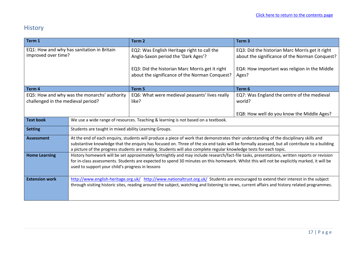# <span id="page-16-0"></span>History

| Term 1                                                                             |                                                                                                                                                                                                                                                                                                                                                                                                               | Term <sub>2</sub>                                                                                                                                                                       | Term <sub>3</sub>                                                                                                                                           |
|------------------------------------------------------------------------------------|---------------------------------------------------------------------------------------------------------------------------------------------------------------------------------------------------------------------------------------------------------------------------------------------------------------------------------------------------------------------------------------------------------------|-----------------------------------------------------------------------------------------------------------------------------------------------------------------------------------------|-------------------------------------------------------------------------------------------------------------------------------------------------------------|
| EQ1: How and why has sanitation in Britain<br>improved over time?                  |                                                                                                                                                                                                                                                                                                                                                                                                               | EQ2: Was English Heritage right to call the<br>Anglo-Saxon period the 'Dark Ages'?<br>EQ3: Did the historian Marc Morris get it right<br>about the significance of the Norman Conquest? | EQ3: Did the historian Marc Morris get it right<br>about the significance of the Norman Conquest?<br>EQ4: How important was religion in the Middle<br>Ages? |
| Term 4                                                                             |                                                                                                                                                                                                                                                                                                                                                                                                               | Term 5                                                                                                                                                                                  | Term 6                                                                                                                                                      |
| EQ5: How and why was the monarchs' authority<br>challenged in the medieval period? |                                                                                                                                                                                                                                                                                                                                                                                                               | EQ6: What were medieval peasants' lives really<br>like?                                                                                                                                 | EQ7: Was England the centre of the medieval<br>world?<br>EQ8: How well do you know the Middle Ages?                                                         |
| <b>Text book</b>                                                                   | We use a wide range of resources. Teaching & learning is not based on a textbook.                                                                                                                                                                                                                                                                                                                             |                                                                                                                                                                                         |                                                                                                                                                             |
| <b>Setting</b>                                                                     | Students are taught in mixed ability Learning Groups.                                                                                                                                                                                                                                                                                                                                                         |                                                                                                                                                                                         |                                                                                                                                                             |
| <b>Assessment</b>                                                                  | At the end of each enquiry, students will produce a piece of work that demonstrates their understanding of the disciplinary skills and<br>substantive knowledge that the enquiry has focused on. Three of the six end tasks will be formally assessed, but all contribute to a building<br>a picture of the progress students are making. Students will also complete regular knowledge tests for each topic. |                                                                                                                                                                                         |                                                                                                                                                             |
| <b>Home Learning</b>                                                               | History homework will be set approximately fortnightly and may include research/fact-file tasks, presentations, written reports or revision<br>for in-class assessments. Students are expected to spend 30 minutes on this homework. Whilst this will not be explicitly marked, it will be<br>used to support your child's progress in lessons                                                                |                                                                                                                                                                                         |                                                                                                                                                             |
| <b>Extension work</b>                                                              | http://www.english-heritage.org.uk/ http://www.nationaltrust.org.uk/ Students are encouraged to extend their interest in the subject<br>through visiting historic sites, reading around the subject, watching and listening to news, current affairs and history related programmes.                                                                                                                          |                                                                                                                                                                                         |                                                                                                                                                             |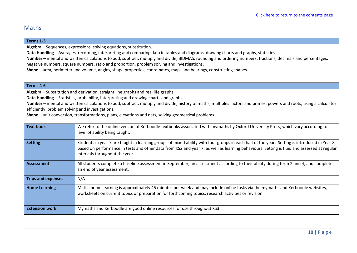#### <span id="page-17-0"></span>Maths

#### **Terms 1-3**

**Algebra** – Sequences, expressions, solving equations, substitution.

**Data Handling** – Averages, recording, interpreting and comparing data in tables and diagrams, drawing charts and graphs, statistics.

**Number** – mental and written calculations to add, subtract, multiply and divide, BIDMAS, rounding and ordering numbers, fractions, decimals and percentages, negative numbers, square numbers, ratio and proportion, problem solving and investigations.

**Shape** – area, perimeter and volume, angles, shape properties, coordinates, maps and bearings, constructing shapes.

#### **Terms 4-6**

**Algebra** – Substitution and derivation, straight line graphs and real life graphs.

**Data Handling** – Statistics, probability, interpreting and drawing charts and graphs.

**Number** – mental and written calculations to add, subtract, multiply and divide, history of maths, multiples factors and primes, powers and roots, using a calculator efficiently, problem solving and investigations.

**Shape** – unit conversion, transformations, plans, elevations and nets, solving geometrical problems.

| <b>Text book</b>          | We refer to the online version of Kerboodle textbooks associated with mymaths by Oxford University Press, which vary according to<br>level of ability being taught.                                                                                                                                                          |
|---------------------------|------------------------------------------------------------------------------------------------------------------------------------------------------------------------------------------------------------------------------------------------------------------------------------------------------------------------------|
| <b>Setting</b>            | Students in year 7 are taught in learning groups of mixed ability with four groups in each half of the year. Setting is introduced in Year 8<br>based on performance in tests and other data from KS2 and year 7, as well as learning behaviours. Setting is fluid and assessed at regular<br>intervals throughout the year. |
| <b>Assessment</b>         | All students complete a baseline assessment in September, an assessment according to their ability during term 2 and 4, and complete<br>an end of year assessment.                                                                                                                                                           |
| <b>Trips and expenses</b> | N/A                                                                                                                                                                                                                                                                                                                          |
| <b>Home Learning</b>      | Maths home learning is approximately 45 minutes per week and may include online tasks via the mymaths and Kerboodle websites,<br>worksheets on current topics or preparation for forthcoming topics, research activities or revision.                                                                                        |
| <b>Extension work</b>     | Mymaths and Kerboodle are good online resources for use throughout KS3                                                                                                                                                                                                                                                       |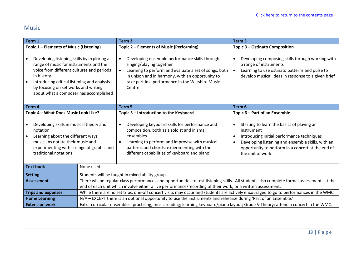### <span id="page-18-0"></span>Music

| Term 1                                                                                                                                                                                                                                                                                                                                   |                                                                                                                                     | Term <sub>2</sub>                                                                                                                                                                                                                                                                                                               | Term <sub>3</sub>                                                                                                                                                                                                                                                                                            |
|------------------------------------------------------------------------------------------------------------------------------------------------------------------------------------------------------------------------------------------------------------------------------------------------------------------------------------------|-------------------------------------------------------------------------------------------------------------------------------------|---------------------------------------------------------------------------------------------------------------------------------------------------------------------------------------------------------------------------------------------------------------------------------------------------------------------------------|--------------------------------------------------------------------------------------------------------------------------------------------------------------------------------------------------------------------------------------------------------------------------------------------------------------|
| Topic 1 - Elements of Music (Listening)<br>Developing listening skills by exploring a<br>$\bullet$<br>range of music for instruments and the<br>voice from different cultures and periods<br>in history<br>Introducing critical listening and analysis<br>by focusing on set works and writing<br>about what a composer has accomplished |                                                                                                                                     | Topic 2 - Elements of Music (Performing)<br>Developing ensemble performance skills through<br>$\bullet$<br>singing/playing together<br>Learning to perform and evaluate a set of songs, both<br>$\bullet$<br>in unison and in harmony, with an opportunity to<br>take part in a performance in the Wiltshire Music<br>Centre    | Topic 3 - Ostinato Composition<br>Developing composing skills through working with<br>$\bullet$<br>a range of instruments<br>Learning to use ostinato patterns and pulse to<br>$\bullet$<br>develop musical ideas in response to a given brief                                                               |
| Term 4                                                                                                                                                                                                                                                                                                                                   |                                                                                                                                     | Term 5                                                                                                                                                                                                                                                                                                                          | Term 6                                                                                                                                                                                                                                                                                                       |
| Topic 4 - What Does Music Look Like?<br>Developing skills in musical theory and<br>notation<br>Learning about the different ways<br>$\bullet$<br>musicians notate their music and<br>experimenting with a range of graphic and<br>traditional notations                                                                                  |                                                                                                                                     | Topic 5 - Introduction to the Keyboard<br>Developing keyboard skills for performance and<br>$\bullet$<br>composition, both as a soloist and in small<br>ensembles<br>Learning to perform and improvise with musical<br>$\bullet$<br>patterns and chords; experimenting with the<br>different capabilities of keyboard and piano | Topic 6 – Part of an Ensemble<br>Starting to learn the basics of playing an<br>$\bullet$<br>instrument<br>Introducing initial performance techniques<br>$\bullet$<br>Developing listening and ensemble skills, with an<br>$\bullet$<br>opportunity to perform in a concert at the end of<br>the unit of work |
| <b>Text book</b>                                                                                                                                                                                                                                                                                                                         | None used.                                                                                                                          |                                                                                                                                                                                                                                                                                                                                 |                                                                                                                                                                                                                                                                                                              |
| <b>Setting</b>                                                                                                                                                                                                                                                                                                                           |                                                                                                                                     | Students will be taught in mixed ability groups.                                                                                                                                                                                                                                                                                |                                                                                                                                                                                                                                                                                                              |
| <b>Assessment</b>                                                                                                                                                                                                                                                                                                                        |                                                                                                                                     | There will be regular class performances and opportunities to test listening skills. All students also complete formal assessments at the                                                                                                                                                                                       |                                                                                                                                                                                                                                                                                                              |
| end of each unit which involve either a live performance/recording of their work, or a written assessment.<br>While there are no set trips, one-off concert visits may occur and students are actively encouraged to go to performances in the WMC.<br><b>Trips and expenses</b>                                                         |                                                                                                                                     |                                                                                                                                                                                                                                                                                                                                 |                                                                                                                                                                                                                                                                                                              |
| <b>Home Learning</b>                                                                                                                                                                                                                                                                                                                     | N/A - EXCEPT there is an optional opportunity to use the instruments and rehearse during 'Part of an Ensemble.'                     |                                                                                                                                                                                                                                                                                                                                 |                                                                                                                                                                                                                                                                                                              |
| <b>Extension work</b>                                                                                                                                                                                                                                                                                                                    | Extra-curricular ensembles; practising; music reading; learning keyboard/piano layout; Grade V Theory; attend a concert in the WMC. |                                                                                                                                                                                                                                                                                                                                 |                                                                                                                                                                                                                                                                                                              |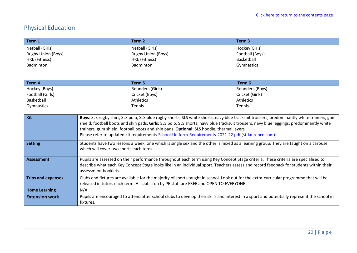# <span id="page-19-0"></span>Physical Education

| Term 1                    |                                                                                                                                        | Term <sub>2</sub>                                                                                                                          | Term <sub>3</sub> |
|---------------------------|----------------------------------------------------------------------------------------------------------------------------------------|--------------------------------------------------------------------------------------------------------------------------------------------|-------------------|
| Netball (Girls)           |                                                                                                                                        | Netball (Girls)                                                                                                                            | Hockey(Girls)     |
| Rugby Union (Boys)        |                                                                                                                                        | <b>Rugby Union (Boys)</b>                                                                                                                  | Football (Boys)   |
| HRE (Fitness)             |                                                                                                                                        | HRE (Fitness)                                                                                                                              | Basketball        |
| Badminton                 |                                                                                                                                        | Badminton                                                                                                                                  | Gymnastics        |
|                           |                                                                                                                                        |                                                                                                                                            |                   |
|                           |                                                                                                                                        |                                                                                                                                            |                   |
| Term <sub>4</sub>         |                                                                                                                                        | Term 5                                                                                                                                     | Term 6            |
| Hockey (Boys)             |                                                                                                                                        | Rounders (Girls)                                                                                                                           | Rounders (Boys)   |
| Football (Girls)          |                                                                                                                                        | Cricket (Boys)                                                                                                                             | Cricket (Girls)   |
| Basketball                |                                                                                                                                        | <b>Athletics</b>                                                                                                                           | <b>Athletics</b>  |
| Gymnastics                |                                                                                                                                        | <b>Tennis</b>                                                                                                                              | <b>Tennis</b>     |
|                           |                                                                                                                                        |                                                                                                                                            |                   |
| Kit                       |                                                                                                                                        | Boys: SLS rugby shirt, SLS polo, SLS blue rugby shorts, SLS white shorts, navy blue tracksuit trousers, predominantly white trainers, gum  |                   |
|                           |                                                                                                                                        | shield, football boots and shin pads. Girls: SLS polo, SLS shorts, navy blue tracksuit trousers, navy blue leggings, predominantly white   |                   |
|                           |                                                                                                                                        | trainers, gum shield, football boots and shin pads. Optional: SLS hoodie, thermal layers                                                   |                   |
|                           | Please refer to updated kit requirements School-Uniform-Requirements-2021-22.pdf (st-laurence.com)                                     |                                                                                                                                            |                   |
| <b>Setting</b>            | Students have two lessons a week, one which is single sex and the other is mixed as a learning group. They are taught on a carousel    |                                                                                                                                            |                   |
|                           | which will cover two sports each term.                                                                                                 |                                                                                                                                            |                   |
|                           |                                                                                                                                        |                                                                                                                                            |                   |
| <b>Assessment</b>         | Pupils are assessed on their performance throughout each term using Key Concept Stage criteria. These criteria are specialised to      |                                                                                                                                            |                   |
|                           | describe what each Key Concept Stage looks like in an individual sport. Teachers assess and record feedback for students within their  |                                                                                                                                            |                   |
|                           | assessment booklets.                                                                                                                   |                                                                                                                                            |                   |
| <b>Trips and expenses</b> | Clubs and fixtures are available for the majority of sports taught in school. Look out for the extra-curricular programme that will be |                                                                                                                                            |                   |
|                           | released in tutors each term. All clubs run by PE staff are FREE and OPEN TO EVERYONE.                                                 |                                                                                                                                            |                   |
| <b>Home Learning</b>      | N/A                                                                                                                                    |                                                                                                                                            |                   |
| <b>Extension work</b>     |                                                                                                                                        | Pupils are encouraged to attend after school clubs to develop their skills and interest in a sport and potentially represent the school in |                   |
|                           | fixtures.                                                                                                                              |                                                                                                                                            |                   |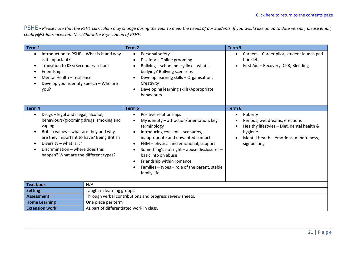<span id="page-20-0"></span>PSHE **-** *Please note that the PSHE curriculum may change during the year to meet the needs of our students. If you would like an up to date version, please email; [chabry@st-laurence.com.](mailto:chabry@st-laurence.com) Miss Charlotte Bryer, Head of PSHE.*

| Term 1                                                                                                                                                                                                                                                                                               |                            | Term <sub>2</sub>                                                                                                                                                                                                                                                                                                                                                                                  | Term <sub>3</sub>                                                                                                                                                                     |
|------------------------------------------------------------------------------------------------------------------------------------------------------------------------------------------------------------------------------------------------------------------------------------------------------|----------------------------|----------------------------------------------------------------------------------------------------------------------------------------------------------------------------------------------------------------------------------------------------------------------------------------------------------------------------------------------------------------------------------------------------|---------------------------------------------------------------------------------------------------------------------------------------------------------------------------------------|
| Introduction to PSHE - What is it and why<br>is it important?<br>Transition to KS3/Secondary school<br>$\bullet$<br>Friendships<br>Mental Health - resilience<br>Develop your identity speech - Who are<br>you?                                                                                      |                            | Personal safety<br>$\bullet$<br>E-safety - Online grooming<br>Bullying - school policy link - what is<br>bullying? Bullying scenarios<br>Develop learning skills - Organisation,<br>Creativity<br>Developing learning skills/Appropriate<br>behaviours                                                                                                                                             | Careers - Career pilot, student launch pad<br>$\bullet$<br>booklet.<br>First Aid - Recovery, CPR, Bleeding<br>$\bullet$                                                               |
| Term 4                                                                                                                                                                                                                                                                                               |                            | Term 5                                                                                                                                                                                                                                                                                                                                                                                             | Term 6                                                                                                                                                                                |
| Drugs - legal and illegal, alcohol,<br>$\bullet$<br>behaviours/grooming drugs, smoking and<br>vaping.<br>British values - what are they and why<br>are they important to have? Being British<br>Diversity - what is it?<br>Discrimination - where does this<br>happen? What are the different types? |                            | Positive relationships<br>$\bullet$<br>My identity - attraction/orientation, key<br>terminology<br>Introducing consent - scenarios,<br>inappropriate and unwanted contact<br>FGM - physical and emotional, support<br>$\bullet$<br>Something's not right - abuse disclosures -<br>basic info on abuse<br>Friendship within romance<br>Families - types - role of the parent, stable<br>family life | Puberty<br>$\bullet$<br>Periods, wet dreams, erections<br>Healthy lifestyles - Diet, dental health &<br>$\bullet$<br>hygiene<br>Mental Health - emotions, mindfulness,<br>signposting |
| <b>Text book</b>                                                                                                                                                                                                                                                                                     | N/A                        |                                                                                                                                                                                                                                                                                                                                                                                                    |                                                                                                                                                                                       |
| <b>Setting</b>                                                                                                                                                                                                                                                                                       | Taught in learning groups. |                                                                                                                                                                                                                                                                                                                                                                                                    |                                                                                                                                                                                       |
| <b>Assessment</b>                                                                                                                                                                                                                                                                                    |                            | Through verbal contributions and progress review sheets.                                                                                                                                                                                                                                                                                                                                           |                                                                                                                                                                                       |
| One piece per term<br><b>Home Learning</b>                                                                                                                                                                                                                                                           |                            |                                                                                                                                                                                                                                                                                                                                                                                                    |                                                                                                                                                                                       |
| <b>Extension work</b><br>As part of differentiated work in class.                                                                                                                                                                                                                                    |                            |                                                                                                                                                                                                                                                                                                                                                                                                    |                                                                                                                                                                                       |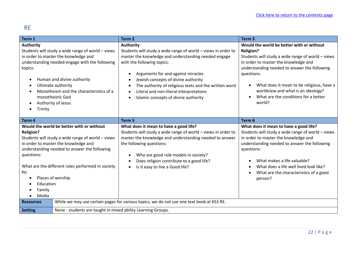### <span id="page-21-0"></span>RE

| Term 1                                                                                                                                                                                                                                                                                                                                                                |                                                              | Term <sub>2</sub>                                                                                                                                                                                                                                                                                                                                                                                | Term <sub>3</sub>                                                                                                                                                                                                                                                                                                                                             |
|-----------------------------------------------------------------------------------------------------------------------------------------------------------------------------------------------------------------------------------------------------------------------------------------------------------------------------------------------------------------------|--------------------------------------------------------------|--------------------------------------------------------------------------------------------------------------------------------------------------------------------------------------------------------------------------------------------------------------------------------------------------------------------------------------------------------------------------------------------------|---------------------------------------------------------------------------------------------------------------------------------------------------------------------------------------------------------------------------------------------------------------------------------------------------------------------------------------------------------------|
| <b>Authority</b><br>Students will study a wide range of world - views<br>in order to master the knowledge and<br>understanding needed engage with the following<br>topics:<br>Human and divine authority<br>$\bullet$<br>Ultimate authority<br>Monotheism and the characteristics of a<br>monotheistic God<br>Authority of Jesus<br>$\bullet$<br>Trinity<br>$\bullet$ |                                                              | <b>Authority</b><br>Students will study a wide range of world - views in order to<br>master the knowledge and understanding needed engage<br>with the following topics:<br>Arguments for and against miracles<br>Jewish concepts of divine authority<br>The authority of religious texts and the written word<br>Literal and non-literal interpretations<br>Islamic concepts of divine authority | Would the world be better with or without<br><b>Religion?</b><br>Students will study a wide range of world - views<br>in order to master the knowledge and<br>understanding needed to answer the following<br>questions:<br>What does it mean to be religious, have a<br>worldview and what is an ideology?<br>What are the conditions for a better<br>world? |
| Term 4                                                                                                                                                                                                                                                                                                                                                                |                                                              | Term <sub>5</sub>                                                                                                                                                                                                                                                                                                                                                                                | Term 6                                                                                                                                                                                                                                                                                                                                                        |
| Would the world be better with or without<br><b>Religion?</b><br>Students will study a wide range of world - views<br>in order to master the knowledge and<br>understanding needed to answer the following<br>questions:<br>What are the different roles performed in society<br>by:<br>Places of worship<br>Education<br>Family<br>Media<br>$\bullet$                |                                                              | What does it mean to have a good life?<br>Students will study a wide range of world - views in order to<br>master the knowledge and understanding needed to answer<br>the following questions:<br>Who are good role models in society?<br>Does religion contribute to a good life?<br>Is it easy to live a Good life?                                                                            | What does it mean to have a good life?<br>Students will study a wide range of world - views<br>in order to master the knowledge and<br>understanding needed to answer the following<br>questions:<br>What makes a life valuable?<br>What does a life well lived look like?<br>What are the characteristics of a good<br>person?                               |
| <b>Resources</b>                                                                                                                                                                                                                                                                                                                                                      |                                                              | While we may use certain pages for various topics, we do not use one text book at KS3 RE.                                                                                                                                                                                                                                                                                                        |                                                                                                                                                                                                                                                                                                                                                               |
| <b>Setting</b>                                                                                                                                                                                                                                                                                                                                                        | None - students are taught in mixed ability Learning Groups. |                                                                                                                                                                                                                                                                                                                                                                                                  |                                                                                                                                                                                                                                                                                                                                                               |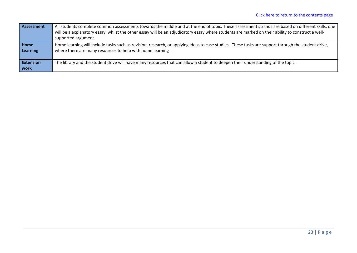| Assessment                 | All students complete common assessments towards the middle and at the end of topic. These assessment strands are based on different skills, one<br>will be a explanatory essay, whilst the other essay will be an adjudicatory essay where students are marked on their ability to construct a well-<br>supported argument |
|----------------------------|-----------------------------------------------------------------------------------------------------------------------------------------------------------------------------------------------------------------------------------------------------------------------------------------------------------------------------|
| <b>Home</b><br>Learning    | Home learning will include tasks such as revision, research, or applying ideas to case studies. These tasks are support through the student drive,<br>where there are many resources to help with home learning                                                                                                             |
| <b>Extension</b><br>l work | The library and the student drive will have many resources that can allow a student to deepen their understanding of the topic.                                                                                                                                                                                             |